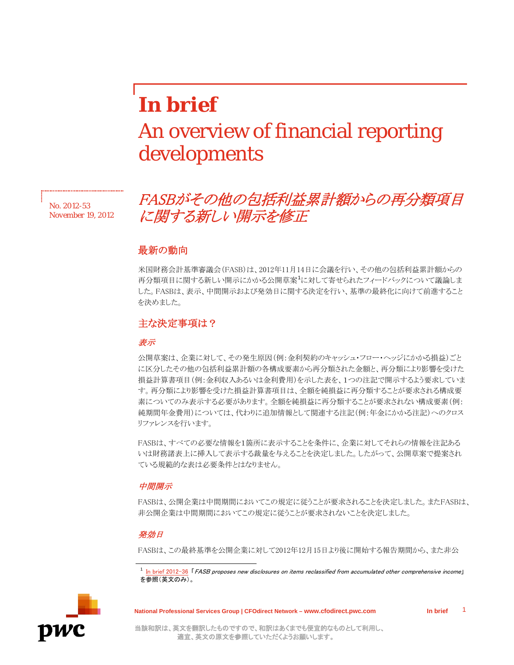# *In brief* An overview of financial reporting developments

*No. 2012-53 November 19, 2012*

# FASBがその他の包括利益累計額からの再分類項目 に関する新しい開示を修正

## 最新の動向

米国財務会計基準審議会(FASB)は、2012年11月14日に会議を行い、その他の包括利益累計額からの 再分類項目に関する新しい開示にかかる公開草案<sup>[1](#page-0-0)</sup>に対して寄せられたフィードバックについて議論しま した。FASBは、表示、中間開示および発効日に関する決定を行い、基準の最終化に向けて前進すること を決めました。

### 主な決定事項は?

#### 表示

公開草案は、企業に対して、その発生原因(例:金利契約のキャッシュ・フロー・ヘッジにかかる損益)ごと に区分したその他の包括利益累計額の各構成要素から再分類された金額と、再分類により影響を受けた 損益計算書項目(例:金利収入あるいは金利費用)を示した表を、1つの注記で開示するよう要求していま す。再分類により影響を受けた損益計算書項目は、全額を純損益に再分類することが要求される構成要 素についてのみ表示する必要があります。全額を純損益に再分類することが要求されない構成要素(例: 純期間年金費用)については、代わりに追加情報として関連する注記(例:年金にかかる注記)へのクロス リファレンスを行います。

FASBは、すべての必要な情報を1箇所に表示することを条件に、企業に対してそれらの情報を注記ある いは財務諸表上に挿入して表示する裁量を与えることを決定しました。したがって、公開草案で提案され ている規範的な表は必要条件とはなりません。

#### 中間開示

FASBは、公開企業は中間期間においてこの規定に従うことが要求されることを決定しました。またFASBは、 非公開企業は中間期間においてこの規定に従うことが要求されないことを決定しました。

#### 発効日

FASBは、この最終基準を公開企業に対して2012年12月15日より後に開始する報告期間から、また非公

<span id="page-0-0"></span>

**National Professional Services Group | CFOdirect Network – www.cfodirect.pwc.com In brief**

1

 $1$  [In brief 2012-36](http://cfodirect.pwc.com/CFODirectWeb/Controller.jpf?ContentCode=KOCL-8X9U76&SecNavCode=MSRA-84YH44&ContentType=Content) 「FASB proposes new disclosures on items reclassified from accumulated other comprehensive income] を参照(英文のみ)。